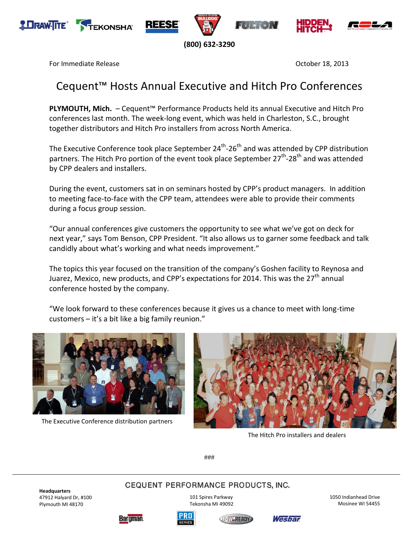







**(800) 632-3290**

For Immediate Release October 18, 2013

# Cequent™ Hosts Annual Executive and Hitch Pro Conferences

**PLYMOUTH, Mich.** – Cequent™ Performance Products held its annual Executive and Hitch Pro conferences last month. The week-long event, which was held in Charleston, S.C., brought together distributors and Hitch Pro installers from across North America.

The Executive Conference took place September 24<sup>th</sup>-26<sup>th</sup> and was attended by CPP distribution partners. The Hitch Pro portion of the event took place September 27<sup>th</sup>-28<sup>th</sup> and was attended by CPP dealers and installers.

During the event, customers sat in on seminars hosted by CPP's product managers. In addition to meeting face-to-face with the CPP team, attendees were able to provide their comments during a focus group session.

"Our annual conferences give customers the opportunity to see what we've got on deck for next year," says Tom Benson, CPP President. "It also allows us to garner some feedback and talk candidly about what's working and what needs improvement."

The topics this year focused on the transition of the company's Goshen facility to Reynosa and Juarez, Mexico, new products, and CPP's expectations for 2014. This was the 27<sup>th</sup> annual conference hosted by the company.

"We look forward to these conferences because it gives us a chance to meet with long-time customers – it's a bit like a big family reunion."



The Executive Conference distribution partners



The Hitch Pro installers and dealers

###

CEQUENT PERFORMANCE PRODUCTS, INC.

**Headquarters** 47912 Halyard Dr, #100 Plymouth MI 48170

101 Spires Parkway

Tekonsha MI 49092

1050 Indianhead Drive Mosinee WI 54455